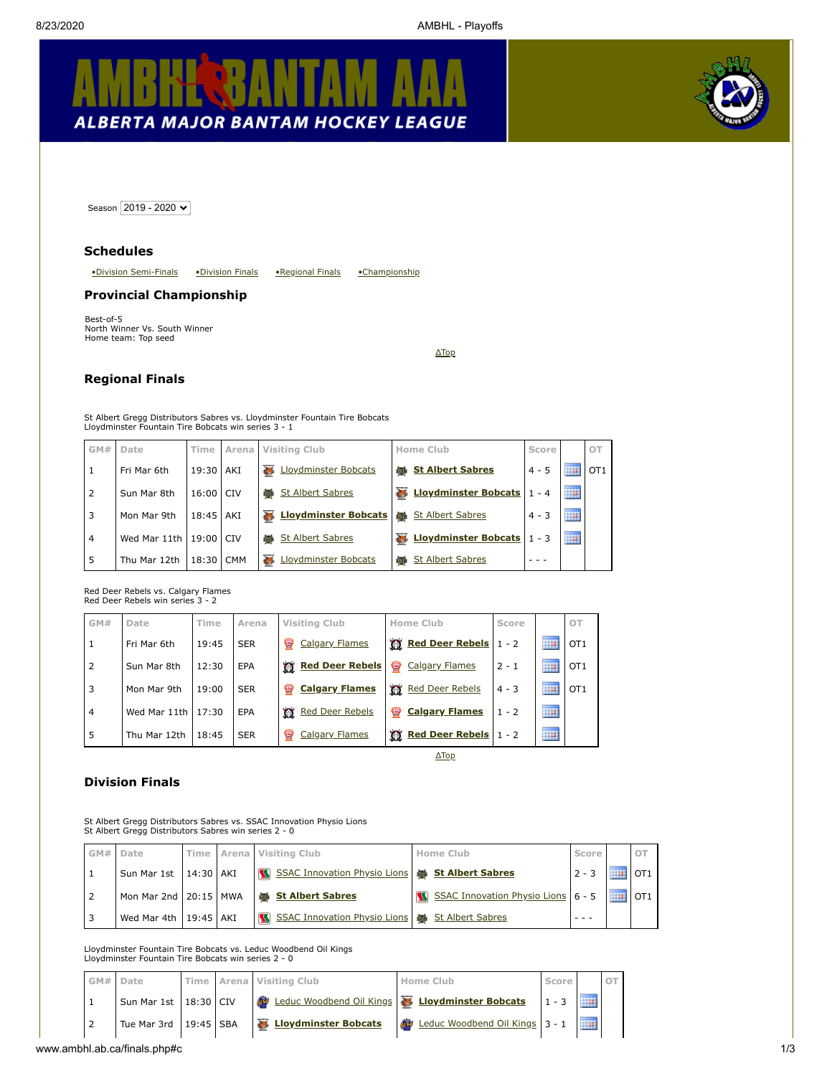# KΑ IA **ALBERTA MAJOR BANTAM HOCKEY LEAGUE**



<span id="page-0-3"></span>Season 2019 - 2020 V

#### **Schedules**

<span id="page-0-2"></span>[•Division Semi-Finals](#page-1-0) [•Division Finals](#page-0-0) [•Regional Finals](#page-0-1) [•Championship](#page-0-2)

#### **Provincial Championship**

Best-of-5 North Winner Vs. South Winner Home team: Top seed

[ΔTop](#page-0-3)

## <span id="page-0-1"></span>**Regional Finals**

St Albert Gregg Distributors Sabres vs. Lloydminster Fountain Tire Bobcats Lloydminster Fountain Tire Bobcats win series 3 - 1

|   | GM# | Date                   | <b>Time</b> | Arena      | Visiting Club                    | Home Club                               | Score   |                   | OT              |
|---|-----|------------------------|-------------|------------|----------------------------------|-----------------------------------------|---------|-------------------|-----------------|
|   |     | Fri Mar 6th            | 19:30       | <b>AKI</b> | <b>Lloydminster Bobcats</b><br>参 | <b>端 St Albert Sabres</b>               | $4 - 5$ | 11111111111       | OT <sub>1</sub> |
|   |     | Sun Mar 8th            | 16:00       | I CIV      | <b>St Albert Sabres</b><br>in is | <b>Eloydminster Bobcats</b>             | $1 - 4$ | HP.               |                 |
| 3 |     | Mon Mar 9th            | 18:45   AKI |            | <b>Lloydminster Bobcats</b><br>春 | <b>St Albert Sabres</b><br><b>OHA</b>   | $4 - 3$ | ----------<br>٣e  |                 |
| 4 |     | Wed Mar 11th 19:00 CIV |             |            | <b>St Albert Sabres</b><br>tin e | <b>Lloydminster Bobcats</b>             | $1 - 3$ | ----------<br>Ho. |                 |
| 5 |     | Thu Mar 12th           | 18:30       | <b>CMM</b> | Lloydminster Bobcats<br>参        | <b>St Albert Sabres</b><br><b>ATTER</b> |         |                   |                 |

Red Deer Rebels vs. Calgary Flames Red Deer Rebels win series 3 - 2

| GM#            | Date               | Time  | Arena      | Visiting Club               | Home Club                   | Score   |                                        | OT              |
|----------------|--------------------|-------|------------|-----------------------------|-----------------------------|---------|----------------------------------------|-----------------|
| 1              | Fri Mar 6th        | 19:45 | <b>SER</b> | ₩<br><b>Calgary Flames</b>  | <b>W</b> Red Deer Rebels    | $1 - 2$ | ----------<br>₩                        | OT <sub>1</sub> |
| $\overline{2}$ | Sun Mar 8th        | 12:30 | EPA        | <b>M</b> Red Deer Rebels    | ♥<br><b>Calgary Flames</b>  | $2 - 1$ | ---------<br>Ŧ                         | OT <sub>1</sub> |
| 3              | Mon Mar 9th        | 19:00 | <b>SER</b> | ₩<br><b>Calgary Flames</b>  | w<br><b>Red Deer Rebels</b> | $4 - 3$ | ----------<br>₩                        | OT <sub>1</sub> |
| 4              | Wed Mar 11th 17:30 |       | EPA        | w<br><b>Red Deer Rebels</b> | ₩<br><b>Calgary Flames</b>  | $1 - 2$ | ---------<br>ĦP                        |                 |
| 5              | Thu Mar 12th       | 18:45 | <b>SER</b> | ₩<br><b>Calgary Flames</b>  | <b>WE Red Deer Rebels</b>   | $1 - 2$ | ---------<br>$\mathbb{H}^{\mathsf{p}}$ |                 |

[ΔTop](#page-0-3)

#### <span id="page-0-0"></span>**Division Finals**

St Albert Gregg Distributors Sabres vs. SSAC Innovation Physio Lions St Albert Gregg Distributors Sabres win series 2 - 0

| GM# | Date                                                            | Time        | Arena | Visiting Club                                           |  | <b>Home Club</b>                   | Score   |             | OT              |  |  |
|-----|-----------------------------------------------------------------|-------------|-------|---------------------------------------------------------|--|------------------------------------|---------|-------------|-----------------|--|--|
|     | Sun Mar 1st                                                     | $14:30$ AKI |       | SSAC Innovation Physio Lions<br>M                       |  | <b>St Albert Sabres</b>            | $2 - 3$ | 11111111111 | OT <sub>1</sub> |  |  |
| 2   | Mon Mar 2nd 20:15 MWA                                           |             |       | <b>St Albert Sabres</b><br><b>ATTES</b>                 |  | SSAC Innovation Physio Lions 6 - 5 |         | ,,,,,,,,,,, | $'$ OT1         |  |  |
| 3   | Wed Mar 4th   19:45   AKI                                       |             |       | SSAC Innovation Physio Lions   66 St Albert Sabres<br>M |  |                                    |         |             |                 |  |  |
|     | Lloydminster Fountain Tire Bobcats vs. Leduc Woodbend Oil Kings |             |       |                                                         |  |                                    |         |             |                 |  |  |

Lloydminster Fountain Tire Bobcats win series 2 - 0

|  | GM# Date                      |  | Time Arena Visiting Club | Home Club                      | Score   |  |
|--|-------------------------------|--|--------------------------|--------------------------------|---------|--|
|  | Sun Mar 1st   18:30 CIV       |  |                          | Loydminster Bobcats            | $1 - 3$ |  |
|  | Tue Mar 3rd $\vert$ 19:45 SBA |  | Lloydminster Bobcats     | Leduc Woodbend Oil Kings 3 - 1 |         |  |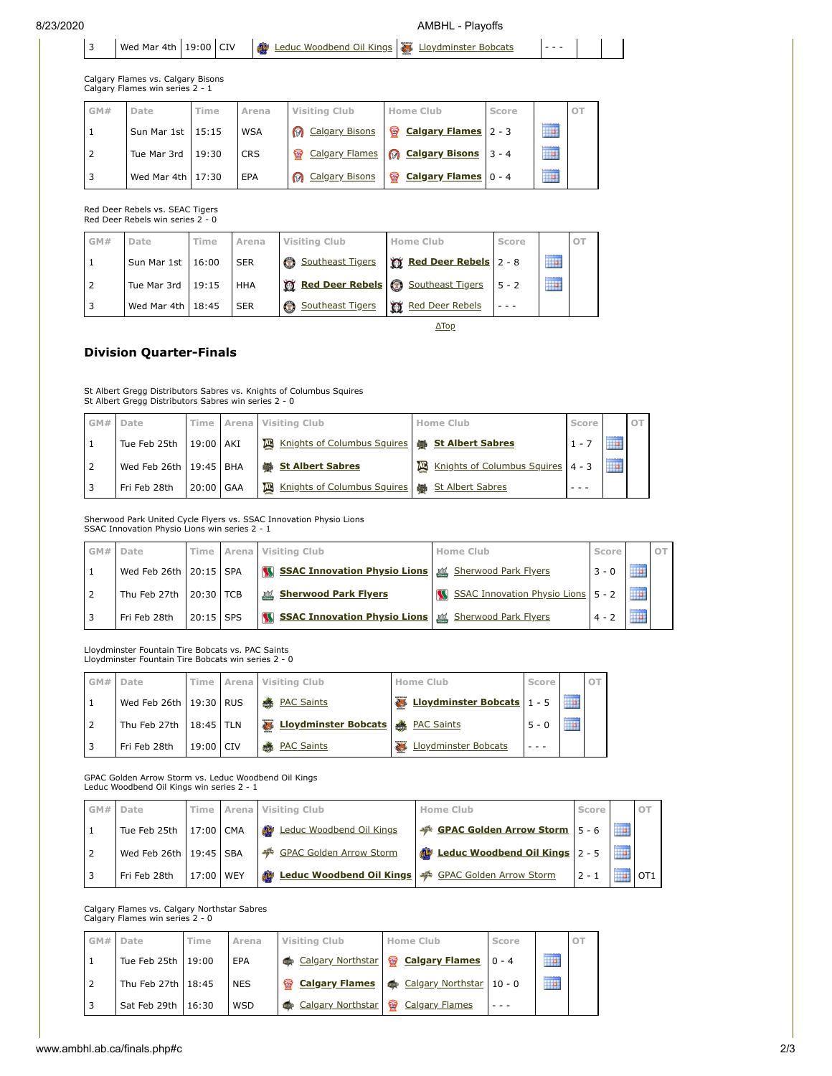8/23/2020 AMBHL - Playoffs

| 3   | Wed Mar 4th 19:00 CIV                                                |       | OB         | Leduc Woodbend Oil Kings         | 26<br>Lloydminster Bobcats |         |                         |    |
|-----|----------------------------------------------------------------------|-------|------------|----------------------------------|----------------------------|---------|-------------------------|----|
|     | Calgary Flames vs. Calgary Bisons<br>Calgary Flames win series 2 - 1 |       |            |                                  |                            |         |                         |    |
| GM# | Date                                                                 | Time  | Arena      | <b>Visiting Club</b>             | Home Club                  | Score   |                         | OT |
|     | Sun Mar 1st                                                          | 15:15 | <b>WSA</b> | <b>Calgary Bisons</b><br>⋒       | <b>Calgary Flames</b><br>₩ | $2 - 3$ | ---------<br>M)         |    |
| 2   | Tue Mar 3rd                                                          | 19:30 | <b>CRS</b> | <b>Calgary Flames</b><br>₩       | <b>@</b> Calgary Bisons    | $3 - 4$ | ---------<br><b>THE</b> |    |
| 3   | Wed Mar 4th                                                          | 17:30 | EPA        | <b>Calgary Bisons</b><br>$\odot$ | ₩<br><b>Calgary Flames</b> | $0 - 4$ | <br><b>TP</b>           |    |
|     |                                                                      |       |            |                                  |                            |         |                         |    |

Red Deer Rebels vs. SEAC Tigers Red Deer Rebels win series 2 - 0

| GM# | Date                | Гіmе | Arena      | <b>Visiting Club</b>               | <b>Home Club</b>      | Score   |                          | OT |
|-----|---------------------|------|------------|------------------------------------|-----------------------|---------|--------------------------|----|
|     | Sun Mar 1st   16:00 |      | <b>SER</b> | Southeast Tigers                   | Red Deer Rebels 2 - 8 |         | 1111111111<br><b>Tip</b> |    |
|     | Tue Mar 3rd 19:15   |      | <b>HHA</b> | Red Deer Rebels & Southeast Tigers |                       | $5 - 2$ | <br><b>Tip</b>           |    |
|     | Wed Mar 4th $18:45$ |      | <b>SER</b> | Southeast Tigers<br>$^\circledR$   | Red Deer Rebels       |         |                          |    |

[ΔTop](#page-0-3)

## <span id="page-1-0"></span>**Division Quarter-Finals**

St Albert Gregg Distributors Sabres vs. Knights of Columbus Squires St Albert Gregg Distributors Sabres win series 2 - 0

| GM# | Date                       | Time l                 |     | Arena Visiting Club                                      | Home Club                         | Score   |               | OT |
|-----|----------------------------|------------------------|-----|----------------------------------------------------------|-----------------------------------|---------|---------------|----|
|     | Tue Feb 25th               | 19:00 AKI              |     | Knights of Columbus Squires (16) St Albert Sabres<br>四   |                                   | $1 - 1$ | .<br>Ŧъ       |    |
|     | Wed Feb 26th   19:45   BHA |                        |     | <b>藤 St Albert Sabres</b>                                | Knights of Columbus Squires 4 - 3 |         | <br><b>Ta</b> |    |
|     | Fri Feb 28th               | $20:00$ $\blacksquare$ | GAA | Knights of Columbus Squires (1666) St Albert Sabres<br>四 |                                   |         |               |    |

Sherwood Park United Cycle Flyers vs. SSAC Innovation Physio Lions SSAC Innovation Physio Lions win series 2 - 1

| GM# | Date                   |           | Time Arena | Visiting Club                                       | Home Club                          | Score   |  |
|-----|------------------------|-----------|------------|-----------------------------------------------------|------------------------------------|---------|--|
|     |                        |           |            |                                                     |                                    |         |  |
|     | Wed Feb 26th 20:15 SPA |           |            | SSAC Innovation Physio Lions & Sherwood Park Flyers |                                    | $3 - 0$ |  |
|     | Thu Feb 27th 20:30 TCB |           |            | Sherwood Park Flyers                                | SSAC Innovation Physio Lions 5 - 2 |         |  |
|     | Fri Feb 28th           | 20:15 SPS |            | SSAC Innovation Physio Lions & Sherwood Park Flyers |                                    | $4 - 2$ |  |

Lloydminster Fountain Tire Bobcats vs. PAC Saints Lloydminster Fountain Tire Bobcats win series 2 - 0

| GM# Date                   | Time I    | Arena Visiting Club                          | Home Club                   | Score   |          | OT. |
|----------------------------|-----------|----------------------------------------------|-----------------------------|---------|----------|-----|
| Wed Feb 26th   19:30   RUS |           | <b>BEAC Saints</b>                           | Eloydminster Bobcats 1 - 5  |         | .<br>HP. |     |
| Thu Feb 27th 18:45 TLN     |           | <b>Eloydminster Bobcats &amp;</b> PAC Saints |                             | $5 - 0$ | <br>H a  |     |
| Fri Feb 28th               | 19:00 CIV | <b>in the </b><br><b>PAC Saints</b>          | <b>Lloydminster Bobcats</b> |         |          |     |

GPAC Golden Arrow Storm vs. Leduc Woodbend Oil Kings Leduc Woodbend Oil Kings win series 2 - 1

| GM# | Date                       |           | Time Arena Visiting Club                           | Home Club                      | Score |                    |
|-----|----------------------------|-----------|----------------------------------------------------|--------------------------------|-------|--------------------|
|     | Tue Feb 25th 17:00 CMA     |           | <b>COLOR</b><br><b>Leduc Woodbend Oil Kings</b>    | GPAC Golden Arrow Storm 5 - 6  |       |                    |
|     | Wed Feb 26th   19:45   SBA |           | GPAC Golden Arrow Storm                            | Leduc Woodbend Oil Kings 2 - 5 |       |                    |
|     | Fri Feb 28th               | 17:00 WEY | Leduc Woodbend Oil Kings   SPAC Golden Arrow Storm |                                |       | $\blacksquare$ OT1 |

Calgary Flames vs. Calgary Northstar Sabres Calgary Flames win series 2 - 0

| GM# Date             | Time | Arena      | <b>Visiting Club</b> | Home Club                         | Score |                        | OT |
|----------------------|------|------------|----------------------|-----------------------------------|-------|------------------------|----|
| Tue Feb 25th   19:00 |      | EPA        | Calgary Northstar    | <b>&amp;</b> Calgary Flames 0 - 4 |       | ---------<br><u>ia</u> |    |
| Thu Feb 27th   18:45 |      | <b>NES</b> | Calgary Flames       | Calgary Northstar 10 - 0          |       | ---------<br><u>ia</u> |    |
| Sat Feb 29th   16:30 |      | <b>WSD</b> | Calgary Northstar    | ❤<br><b>Calgary Flames</b>        |       |                        |    |